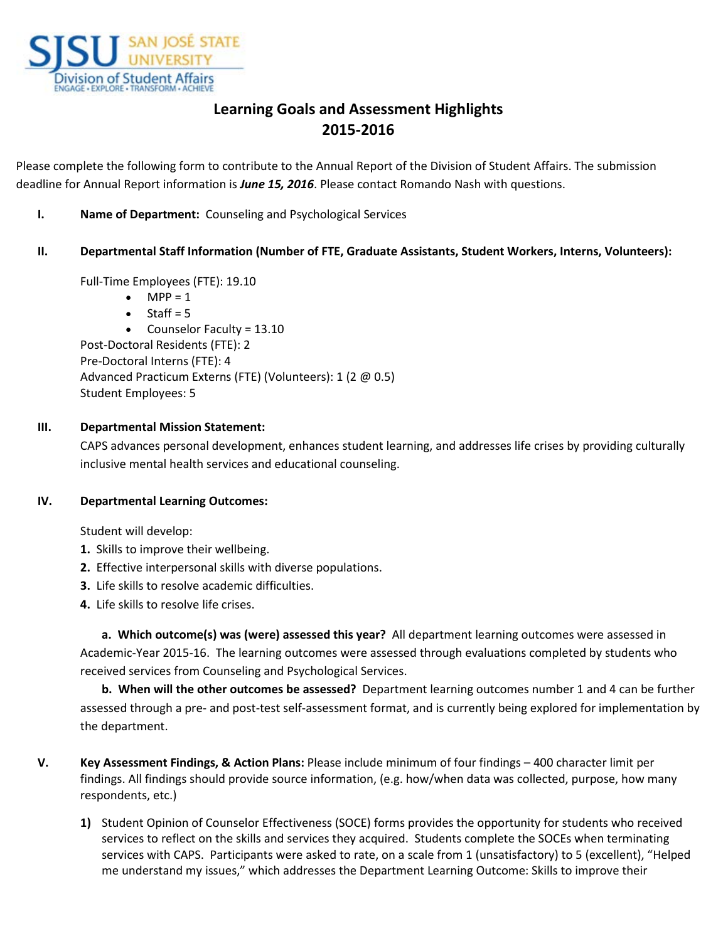

# **Learning Goals and Assessment Highlights 2015-2016**

Please complete the following form to contribute to the Annual Report of the Division of Student Affairs. The submission deadline for Annual Report information is *June 15, 2016*. Please contact Romando Nash with questions.

**I. Name of Department:** Counseling and Psychological Services

## **II. Departmental Staff Information (Number of FTE, Graduate Assistants, Student Workers, Interns, Volunteers):**

Full-Time Employees (FTE): 19.10

- $\bullet$  MPP = 1
- $\bullet$  Staff = 5

• Counselor Faculty = 13.10

Post-Doctoral Residents (FTE): 2 Pre-Doctoral Interns (FTE): 4 Advanced Practicum Externs (FTE) (Volunteers): 1 (2 @ 0.5) Student Employees: 5

## **III. Departmental Mission Statement:**

CAPS advances personal development, enhances student learning, and addresses life crises by providing culturally inclusive mental health services and educational counseling.

#### **IV. Departmental Learning Outcomes:**

Student will develop:

- **1.** Skills to improve their wellbeing.
- **2.** Effective interpersonal skills with diverse populations.
- **3.** Life skills to resolve academic difficulties.
- **4.** Life skills to resolve life crises.

**a. Which outcome(s) was (were) assessed this year?** All department learning outcomes were assessed in Academic-Year 2015-16. The learning outcomes were assessed through evaluations completed by students who received services from Counseling and Psychological Services.

**b. When will the other outcomes be assessed?** Department learning outcomes number 1 and 4 can be further assessed through a pre- and post-test self-assessment format, and is currently being explored for implementation by the department.

- **V. Key Assessment Findings, & Action Plans:** Please include minimum of four findings 400 character limit per findings. All findings should provide source information, (e.g. how/when data was collected, purpose, how many respondents, etc.)
	- **1)** Student Opinion of Counselor Effectiveness (SOCE) forms provides the opportunity for students who received services to reflect on the skills and services they acquired. Students complete the SOCEs when terminating services with CAPS. Participants were asked to rate, on a scale from 1 (unsatisfactory) to 5 (excellent), "Helped me understand my issues," which addresses the Department Learning Outcome: Skills to improve their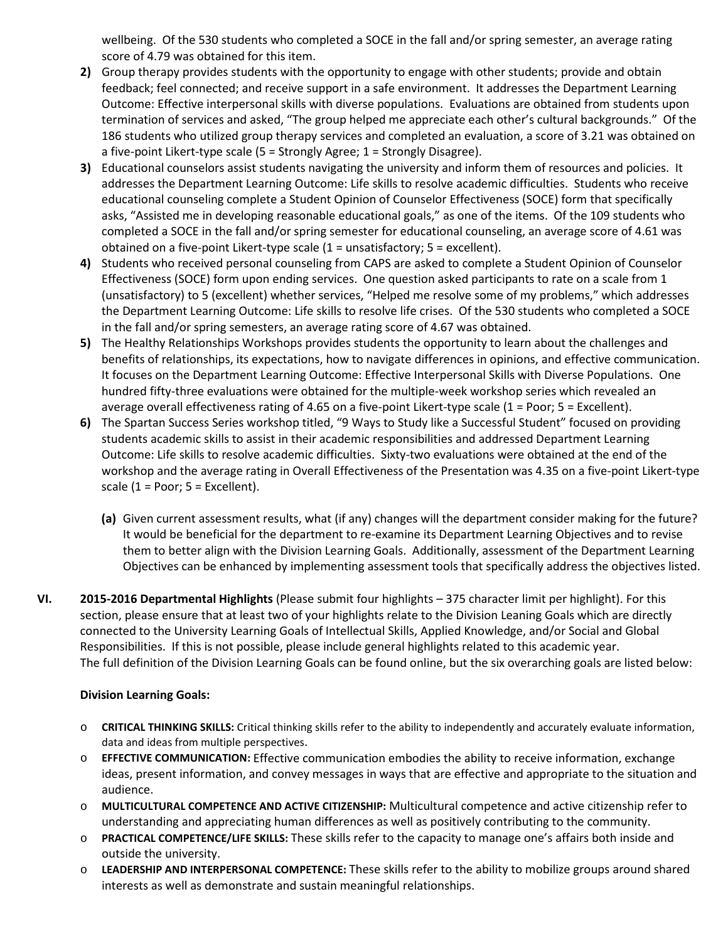wellbeing. Of the 530 students who completed a SOCE in the fall and/or spring semester, an average rating score of 4.79 was obtained for this item.

- **2)** Group therapy provides students with the opportunity to engage with other students; provide and obtain feedback; feel connected; and receive support in a safe environment. It addresses the Department Learning Outcome: Effective interpersonal skills with diverse populations. Evaluations are obtained from students upon termination of services and asked, "The group helped me appreciate each other's cultural backgrounds." Of the 186 students who utilized group therapy services and completed an evaluation, a score of 3.21 was obtained on a five-point Likert-type scale (5 = Strongly Agree; 1 = Strongly Disagree).
- **3)** Educational counselors assist students navigating the university and inform them of resources and policies. It addresses the Department Learning Outcome: Life skills to resolve academic difficulties. Students who receive educational counseling complete a Student Opinion of Counselor Effectiveness (SOCE) form that specifically asks, "Assisted me in developing reasonable educational goals," as one of the items. Of the 109 students who completed a SOCE in the fall and/or spring semester for educational counseling, an average score of 4.61 was obtained on a five-point Likert-type scale (1 = unsatisfactory; 5 = excellent).
- **4)** Students who received personal counseling from CAPS are asked to complete a Student Opinion of Counselor Effectiveness (SOCE) form upon ending services. One question asked participants to rate on a scale from 1 (unsatisfactory) to 5 (excellent) whether services, "Helped me resolve some of my problems," which addresses the Department Learning Outcome: Life skills to resolve life crises. Of the 530 students who completed a SOCE in the fall and/or spring semesters, an average rating score of 4.67 was obtained.
- **5)** The Healthy Relationships Workshops provides students the opportunity to learn about the challenges and benefits of relationships, its expectations, how to navigate differences in opinions, and effective communication. It focuses on the Department Learning Outcome: Effective Interpersonal Skills with Diverse Populations. One hundred fifty-three evaluations were obtained for the multiple-week workshop series which revealed an average overall effectiveness rating of 4.65 on a five-point Likert-type scale (1 = Poor; 5 = Excellent).
- **6)** The Spartan Success Series workshop titled, "9 Ways to Study like a Successful Student" focused on providing students academic skills to assist in their academic responsibilities and addressed Department Learning Outcome: Life skills to resolve academic difficulties. Sixty-two evaluations were obtained at the end of the workshop and the average rating in Overall Effectiveness of the Presentation was 4.35 on a five-point Likert-type scale  $(1 = Poor; 5 = Excellent)$ .
	- **(a)** Given current assessment results, what (if any) changes will the department consider making for the future? It would be beneficial for the department to re-examine its Department Learning Objectives and to revise them to better align with the Division Learning Goals. Additionally, assessment of the Department Learning Objectives can be enhanced by implementing assessment tools that specifically address the objectives listed.
- **VI. 2015-2016 Departmental Highlights** (Please submit four highlights 375 character limit per highlight). For this section, please ensure that at least two of your highlights relate to the Division Leaning Goals which are directly connected to the University Learning Goals of Intellectual Skills, Applied Knowledge, and/or Social and Global Responsibilities. If this is not possible, please include general highlights related to this academic year. The full definition of the Division Learning Goals can be found online, but the six overarching goals are listed below:

#### **Division Learning Goals:**

- o **CRITICAL THINKING SKILLS:** Critical thinking skills refer to the ability to independently and accurately evaluate information, data and ideas from multiple perspectives.
- o **EFFECTIVE COMMUNICATION:** Effective communication embodies the ability to receive information, exchange ideas, present information, and convey messages in ways that are effective and appropriate to the situation and audience.
- o **MULTICULTURAL COMPETENCE AND ACTIVE CITIZENSHIP:** Multicultural competence and active citizenship refer to understanding and appreciating human differences as well as positively contributing to the community.
- o **PRACTICAL COMPETENCE/LIFE SKILLS:** These skills refer to the capacity to manage one's affairs both inside and outside the university.
- o **LEADERSHIP AND INTERPERSONAL COMPETENCE:** These skills refer to the ability to mobilize groups around shared interests as well as demonstrate and sustain meaningful relationships.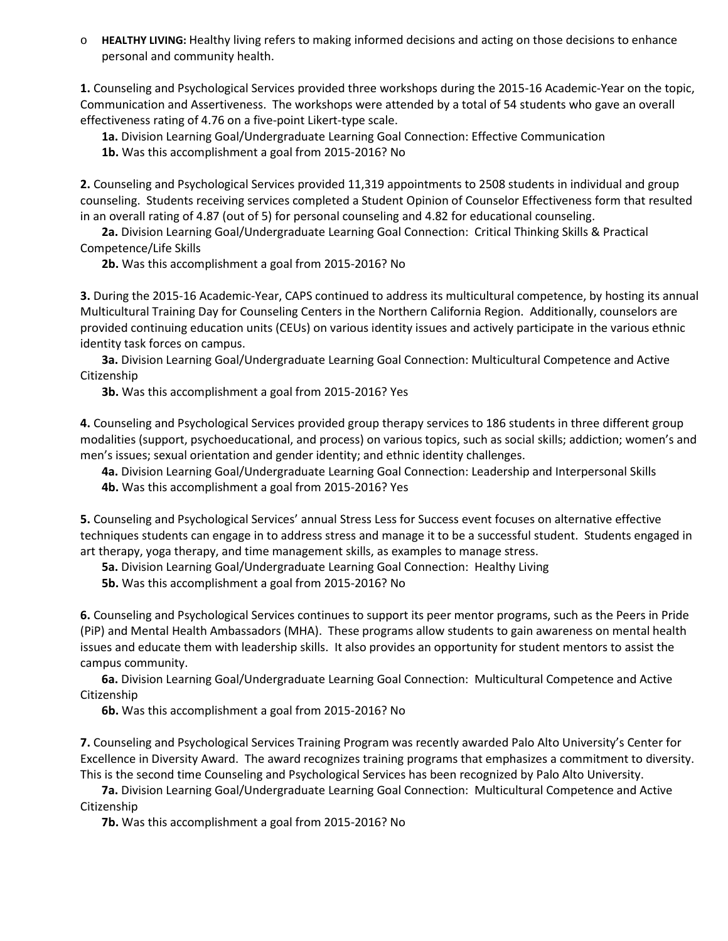o **HEALTHY LIVING:** Healthy living refers to making informed decisions and acting on those decisions to enhance personal and community health.

**1.** Counseling and Psychological Services provided three workshops during the 2015-16 Academic-Year on the topic, Communication and Assertiveness. The workshops were attended by a total of 54 students who gave an overall effectiveness rating of 4.76 on a five-point Likert-type scale.

**1a.** Division Learning Goal/Undergraduate Learning Goal Connection: Effective Communication

**1b.** Was this accomplishment a goal from 2015-2016? No

**2.** Counseling and Psychological Services provided 11,319 appointments to 2508 students in individual and group counseling. Students receiving services completed a Student Opinion of Counselor Effectiveness form that resulted in an overall rating of 4.87 (out of 5) for personal counseling and 4.82 for educational counseling.

**2a.** Division Learning Goal/Undergraduate Learning Goal Connection: Critical Thinking Skills & Practical Competence/Life Skills

**2b.** Was this accomplishment a goal from 2015-2016? No

**3.** During the 2015-16 Academic-Year, CAPS continued to address its multicultural competence, by hosting its annual Multicultural Training Day for Counseling Centers in the Northern California Region. Additionally, counselors are provided continuing education units (CEUs) on various identity issues and actively participate in the various ethnic identity task forces on campus.

**3a.** Division Learning Goal/Undergraduate Learning Goal Connection: Multicultural Competence and Active Citizenship

**3b.** Was this accomplishment a goal from 2015-2016? Yes

**4.** Counseling and Psychological Services provided group therapy services to 186 students in three different group modalities (support, psychoeducational, and process) on various topics, such as social skills; addiction; women's and men's issues; sexual orientation and gender identity; and ethnic identity challenges.

**4a.** Division Learning Goal/Undergraduate Learning Goal Connection: Leadership and Interpersonal Skills **4b.** Was this accomplishment a goal from 2015-2016? Yes

**5.** Counseling and Psychological Services' annual Stress Less for Success event focuses on alternative effective techniques students can engage in to address stress and manage it to be a successful student. Students engaged in art therapy, yoga therapy, and time management skills, as examples to manage stress.

**5a.** Division Learning Goal/Undergraduate Learning Goal Connection: Healthy Living

**5b.** Was this accomplishment a goal from 2015-2016? No

**6.** Counseling and Psychological Services continues to support its peer mentor programs, such as the Peers in Pride (PiP) and Mental Health Ambassadors (MHA). These programs allow students to gain awareness on mental health issues and educate them with leadership skills. It also provides an opportunity for student mentors to assist the campus community.

**6a.** Division Learning Goal/Undergraduate Learning Goal Connection: Multicultural Competence and Active Citizenship

**6b.** Was this accomplishment a goal from 2015-2016? No

**7.** Counseling and Psychological Services Training Program was recently awarded Palo Alto University's Center for Excellence in Diversity Award. The award recognizes training programs that emphasizes a commitment to diversity. This is the second time Counseling and Psychological Services has been recognized by Palo Alto University.

**7a.** Division Learning Goal/Undergraduate Learning Goal Connection: Multicultural Competence and Active Citizenship

**7b.** Was this accomplishment a goal from 2015-2016? No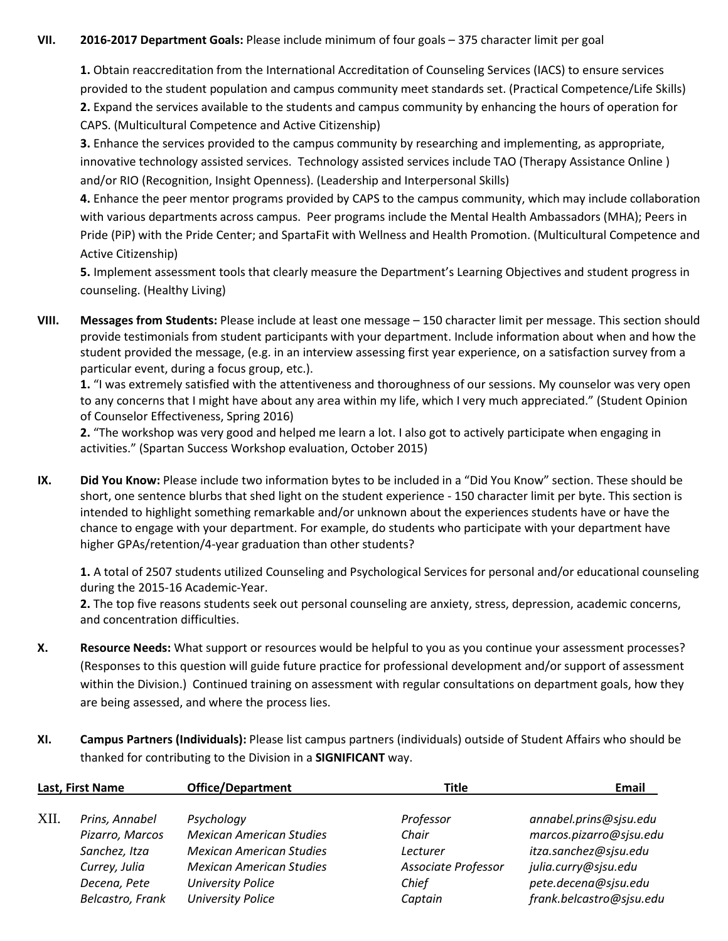#### **VII. 2016-2017 Department Goals:** Please include minimum of four goals – 375 character limit per goal

**1.** Obtain reaccreditation from the International Accreditation of Counseling Services (IACS) to ensure services provided to the student population and campus community meet standards set. (Practical Competence/Life Skills) **2.** Expand the services available to the students and campus community by enhancing the hours of operation for CAPS. (Multicultural Competence and Active Citizenship)

**3.** Enhance the services provided to the campus community by researching and implementing, as appropriate, innovative technology assisted services. Technology assisted services include TAO (Therapy Assistance Online ) and/or RIO (Recognition, Insight Openness). (Leadership and Interpersonal Skills)

**4.** Enhance the peer mentor programs provided by CAPS to the campus community, which may include collaboration with various departments across campus. Peer programs include the Mental Health Ambassadors (MHA); Peers in Pride (PiP) with the Pride Center; and SpartaFit with Wellness and Health Promotion. (Multicultural Competence and Active Citizenship)

**5.** Implement assessment tools that clearly measure the Department's Learning Objectives and student progress in counseling. (Healthy Living)

**VIII. Messages from Students:** Please include at least one message – 150 character limit per message. This section should provide testimonials from student participants with your department. Include information about when and how the student provided the message, (e.g. in an interview assessing first year experience, on a satisfaction survey from a particular event, during a focus group, etc.).

**1.** "I was extremely satisfied with the attentiveness and thoroughness of our sessions. My counselor was very open to any concerns that I might have about any area within my life, which I very much appreciated." (Student Opinion of Counselor Effectiveness, Spring 2016)

**2.** "The workshop was very good and helped me learn a lot. I also got to actively participate when engaging in activities." (Spartan Success Workshop evaluation, October 2015)

**IX. Did You Know:** Please include two information bytes to be included in a "Did You Know" section. These should be short, one sentence blurbs that shed light on the student experience - 150 character limit per byte. This section is intended to highlight something remarkable and/or unknown about the experiences students have or have the chance to engage with your department. For example, do students who participate with your department have higher GPAs/retention/4-year graduation than other students?

**1.** A total of 2507 students utilized Counseling and Psychological Services for personal and/or educational counseling during the 2015-16 Academic-Year.

**2.** The top five reasons students seek out personal counseling are anxiety, stress, depression, academic concerns, and concentration difficulties.

- **X. Resource Needs:** What support or resources would be helpful to you as you continue your assessment processes? (Responses to this question will guide future practice for professional development and/or support of assessment within the Division.) Continued training on assessment with regular consultations on department goals, how they are being assessed, and where the process lies.
- **XI. Campus Partners (Individuals):** Please list campus partners (individuals) outside of Student Affairs who should be thanked for contributing to the Division in a **SIGNIFICANT** way.

| Last, First Name |                  | <b>Office/Department</b>        | Title               | Email                    |
|------------------|------------------|---------------------------------|---------------------|--------------------------|
| XII.             | Prins, Annabel   | Psychology                      | Professor           | annabel.prins@sjsu.edu   |
|                  | Pizarro, Marcos  | <b>Mexican American Studies</b> | Chair               | marcos.pizarro@sjsu.edu  |
|                  | Sanchez, Itza    | <b>Mexican American Studies</b> | Lecturer            | itza.sanchez@sjsu.edu    |
|                  | Currey, Julia    | <b>Mexican American Studies</b> | Associate Professor | julia.curry@sjsu.edu     |
|                  | Decena, Pete     | <b>University Police</b>        | Chief               | pete.decena@sjsu.edu     |
|                  | Belcastro, Frank | <b>University Police</b>        | Captain             | frank.belcastro@sjsu.edu |